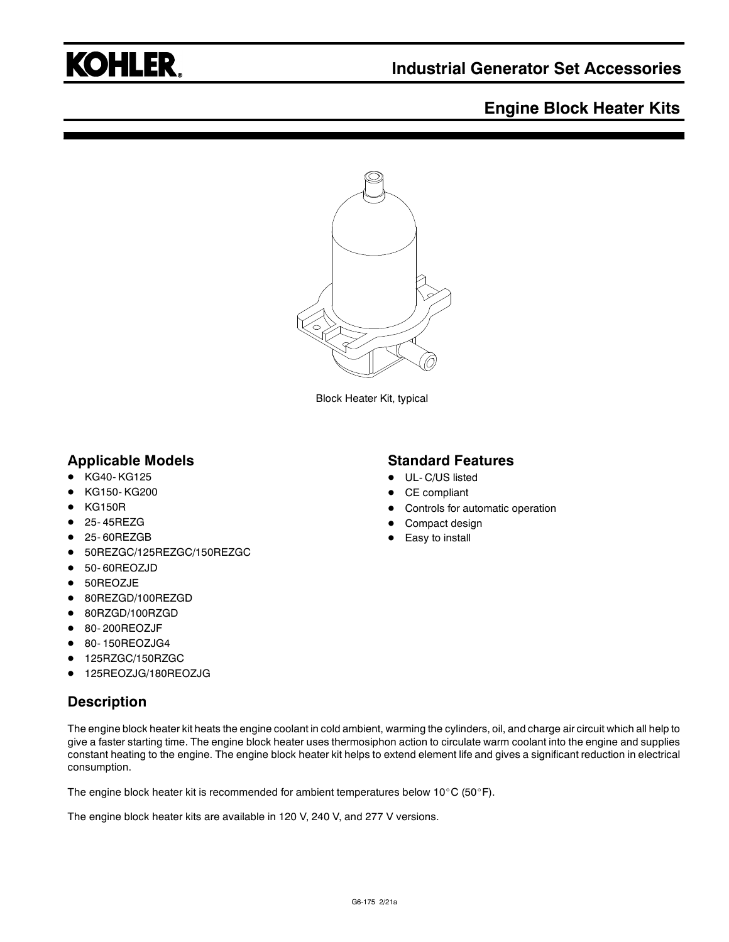

## **Engine Block Heater Kits**



Block Heater Kit, typical

#### **Applicable Models**

- KG40-KG125
- KG150- KG200
- KG150R
- 25-45REZG
- 25- 60REZGB
- 50REZGC/125REZGC/150REZGC
- 50- 60REOZJD
- 50REOZJE
- 80REZGD/100REZGD
- 80RZGD/100RZGD
- 80-200REOZJF
- 80- 150REOZJG4
- 125RZGC/150RZGC
- 125REOZJG/180REOZJG

### **Description**

The engine block heater kit heats the engine coolant in cold ambient, warming the cylinders, oil, and charge air circuit which all help to give a faster starting time. The engine block heater uses thermosiphon action to circulate warm coolant into the engine and supplies constant heating to the engine. The engine block heater kit helps to extend element life and gives a significant reduction in electrical consumption.

The engine block heater kit is recommended for ambient temperatures below 10°C (50°F).

The engine block heater kits are available in 120 V, 240 V, and 277 V versions.

#### **Standard Features**

- UL- C/US listed
- CE compliant
- Controls for automatic operation
- Compact design
- Easy to install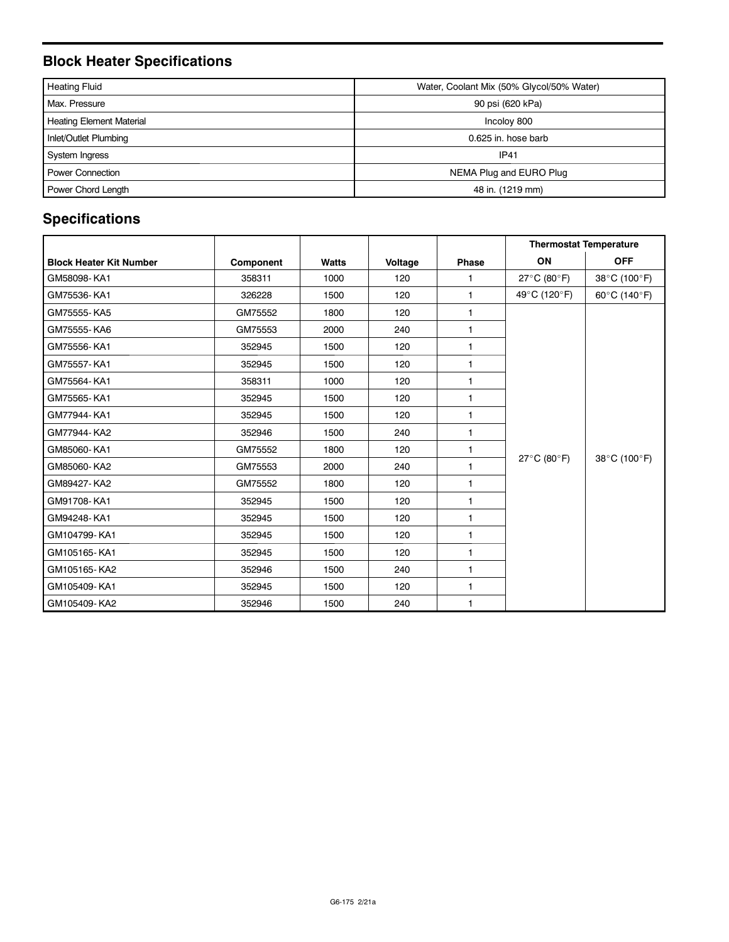# **Block Heater Specifications**

| <b>Heating Fluid</b>            | Water, Coolant Mix (50% Glycol/50% Water) |  |  |  |
|---------------------------------|-------------------------------------------|--|--|--|
| Max. Pressure                   | 90 psi (620 kPa)                          |  |  |  |
| <b>Heating Element Material</b> | Incoloy 800                               |  |  |  |
| Inlet/Outlet Plumbing           | 0.625 in. hose barb                       |  |  |  |
| System Ingress                  | <b>IP41</b>                               |  |  |  |
| <b>Power Connection</b>         | NEMA Plug and EURO Plug                   |  |  |  |
| Power Chord Length              | 48 in. (1219 mm)                          |  |  |  |

# **Specifications**

|                                |           |              |         |                | <b>Thermostat Temperature</b> |              |
|--------------------------------|-----------|--------------|---------|----------------|-------------------------------|--------------|
| <b>Block Heater Kit Number</b> | Component | <b>Watts</b> | Voltage | Phase          | ON                            | <b>OFF</b>   |
| GM58098-KA1                    | 358311    | 1000         | 120     | 1              | 27°C (80°F)                   | 38°C (100°F) |
| GM75536-KA1                    | 326228    | 1500         | 120     | $\mathbf{1}$   | 49°C (120°F)                  | 60°C (140°F) |
| GM75555-KA5                    | GM75552   | 1800         | 120     | $\mathbf{1}$   | 27°C (80°F)                   | 38°C (100°F) |
| GM75555-KA6                    | GM75553   | 2000         | 240     | $\mathbf{1}$   |                               |              |
| GM75556-KA1                    | 352945    | 1500         | 120     | $\mathbf{1}$   |                               |              |
| GM75557-KA1                    | 352945    | 1500         | 120     | $\mathbf{1}$   |                               |              |
| GM75564-KA1                    | 358311    | 1000         | 120     | 1              |                               |              |
| GM75565-KA1                    | 352945    | 1500         | 120     | 1              |                               |              |
| GM77944-KA1                    | 352945    | 1500         | 120     | $\mathbf{1}$   |                               |              |
| GM77944-KA2                    | 352946    | 1500         | 240     | 1              |                               |              |
| GM85060-KA1                    | GM75552   | 1800         | 120     | 1              |                               |              |
| GM85060-KA2                    | GM75553   | 2000         | 240     | $\mathbf{1}$   |                               |              |
| GM89427-KA2                    | GM75552   | 1800         | 120     | $\mathbf{1}$   |                               |              |
| GM91708-KA1                    | 352945    | 1500         | 120     | $\mathbf{1}$   |                               |              |
| GM94248-KA1                    | 352945    | 1500         | 120     | $\mathbf{1}$   |                               |              |
| GM104799-KA1                   | 352945    | 1500         | 120     | 1              |                               |              |
| GM105165-KA1                   | 352945    | 1500         | 120     | $\mathbf{1}$   |                               |              |
| GM105165-KA2                   | 352946    | 1500         | 240     | $\mathbf{1}$   |                               |              |
| GM105409-KA1                   | 352945    | 1500         | 120     | $\mathbf{1}$   |                               |              |
| GM105409-KA2                   | 352946    | 1500         | 240     | $\overline{1}$ |                               |              |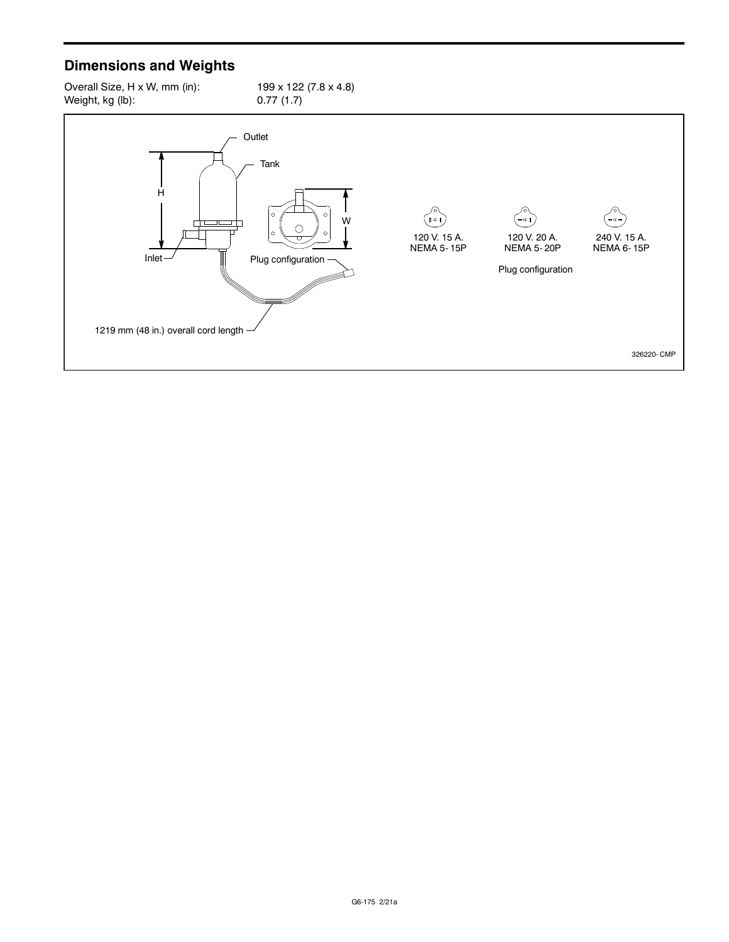# **Dimensions and Weights**